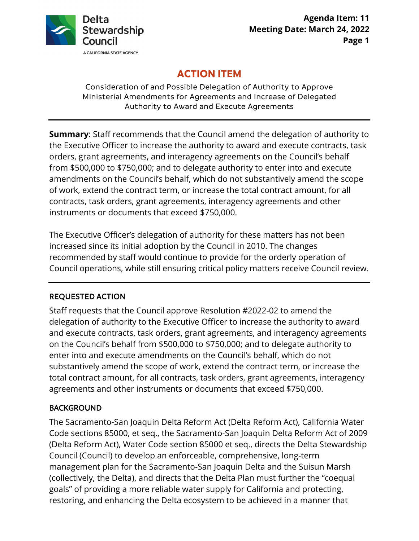

# **ACTION ITEM**

Consideration of and Possible Delegation of Authority to Approve Ministerial Amendments for Agreements and Increase of Delegated Authority to Award and Execute Agreements

**Summary**: Staff recommends that the Council amend the delegation of authority to the Executive Officer to increase the authority to award and execute contracts, task orders, grant agreements, and interagency agreements on the Council's behalf from \$500,000 to \$750,000; and to delegate authority to enter into and execute amendments on the Council's behalf, which do not substantively amend the scope of work, extend the contract term, or increase the total contract amount, for all contracts, task orders, grant agreements, interagency agreements and other instruments or documents that exceed \$750,000.

The Executive Officer's delegation of authority for these matters has not been increased since its initial adoption by the Council in 2010. The changes recommended by staff would continue to provide for the orderly operation of Council operations, while still ensuring critical policy matters receive Council review.

## REQUESTED ACTION

Staff requests that the Council approve Resolution #2022-02 to amend the delegation of authority to the Executive Officer to increase the authority to award and execute contracts, task orders, grant agreements, and interagency agreements on the Council's behalf from \$500,000 to \$750,000; and to delegate authority to enter into and execute amendments on the Council's behalf, which do not substantively amend the scope of work, extend the contract term, or increase the total contract amount, for all contracts, task orders, grant agreements, interagency agreements and other instruments or documents that exceed \$750,000.

## BACKGROUND

The Sacramento-San Joaquin Delta Reform Act (Delta Reform Act), California Water Code sections 85000, et seq., the Sacramento-San Joaquin Delta Reform Act of 2009 (Delta Reform Act), Water Code section 85000 et seq., directs the Delta Stewardship Council (Council) to develop an enforceable, comprehensive, long-term management plan for the Sacramento-San Joaquin Delta and the Suisun Marsh (collectively, the Delta), and directs that the Delta Plan must further the "coequal goals" of providing a more reliable water supply for California and protecting, restoring, and enhancing the Delta ecosystem to be achieved in a manner that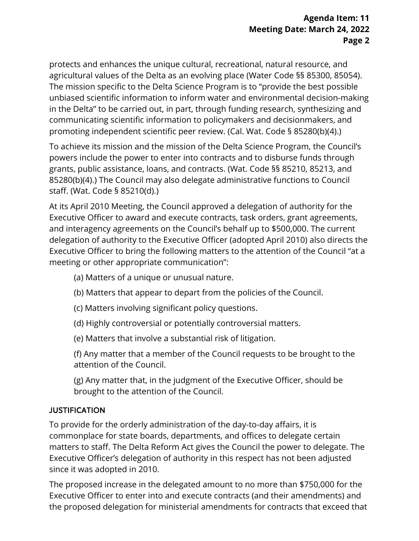protects and enhances the unique cultural, recreational, natural resource, and agricultural values of the Delta as an evolving place (Water Code §§ 85300, 85054). The mission specific to the Delta Science Program is to "provide the best possible unbiased scientific information to inform water and environmental decision-making in the Delta" to be carried out, in part, through funding research, synthesizing and communicating scientific information to policymakers and decisionmakers, and promoting independent scientific peer review. (Cal. Wat. Code § 85280(b)(4).)

To achieve its mission and the mission of the Delta Science Program, the Council's powers include the power to enter into contracts and to disburse funds through grants, public assistance, loans, and contracts. (Wat. Code §§ 85210, 85213, and 85280(b)(4).) The Council may also delegate administrative functions to Council staff. (Wat. Code § 85210(d).)

At its April 2010 Meeting, the Council approved a delegation of authority for the Executive Officer to award and execute contracts, task orders, grant agreements, and interagency agreements on the Council's behalf up to \$500,000. The current delegation of authority to the Executive Officer (adopted April 2010) also directs the Executive Officer to bring the following matters to the attention of the Council "at a meeting or other appropriate communication":

- (a) Matters of a unique or unusual nature.
- (b) Matters that appear to depart from the policies of the Council.
- (c) Matters involving significant policy questions.
- (d) Highly controversial or potentially controversial matters.
- (e) Matters that involve a substantial risk of litigation.
- (f) Any matter that a member of the Council requests to be brought to the attention of the Council.
- (g) Any matter that, in the judgment of the Executive Officer, should be brought to the attention of the Council.

## JUSTIFICATION

To provide for the orderly administration of the day-to-day affairs, it is commonplace for state boards, departments, and offices to delegate certain matters to staff. The Delta Reform Act gives the Council the power to delegate. The Executive Officer's delegation of authority in this respect has not been adjusted since it was adopted in 2010.

The proposed increase in the delegated amount to no more than \$750,000 for the Executive Officer to enter into and execute contracts (and their amendments) and the proposed delegation for ministerial amendments for contracts that exceed that